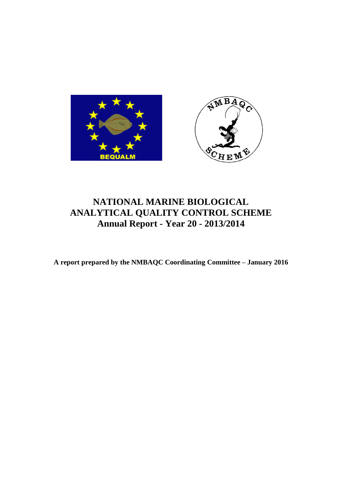

# **NATIONAL MARINE BIOLOGICAL ANALYTICAL QUALITY CONTROL SCHEME Annual Report - Year 20 - 2013/2014**

**A report prepared by the NMBAQC Coordinating Committee – January 2016**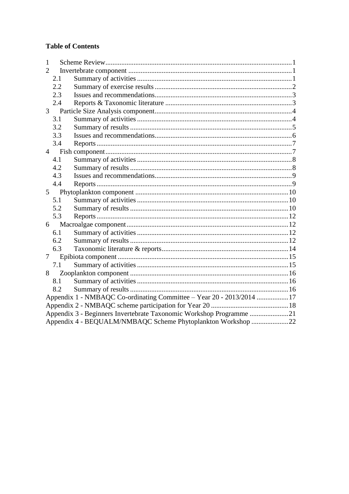# **Table of Contents**

| 1              |                                                                      |  |  |  |  |  |
|----------------|----------------------------------------------------------------------|--|--|--|--|--|
| $\overline{2}$ |                                                                      |  |  |  |  |  |
|                | 2.1                                                                  |  |  |  |  |  |
|                | 2.2                                                                  |  |  |  |  |  |
|                | 2.3                                                                  |  |  |  |  |  |
|                | 2.4                                                                  |  |  |  |  |  |
|                |                                                                      |  |  |  |  |  |
|                | 3.1                                                                  |  |  |  |  |  |
|                | 3.2                                                                  |  |  |  |  |  |
|                | 3.3                                                                  |  |  |  |  |  |
|                | 3.4                                                                  |  |  |  |  |  |
|                |                                                                      |  |  |  |  |  |
|                | 4.1                                                                  |  |  |  |  |  |
|                | 4.2                                                                  |  |  |  |  |  |
|                | 4.3                                                                  |  |  |  |  |  |
|                | 4.4                                                                  |  |  |  |  |  |
| 5 <sup>5</sup> |                                                                      |  |  |  |  |  |
|                | 5.1                                                                  |  |  |  |  |  |
|                | 5.2                                                                  |  |  |  |  |  |
|                | 5.3                                                                  |  |  |  |  |  |
| 6              |                                                                      |  |  |  |  |  |
|                | 6.1                                                                  |  |  |  |  |  |
|                | 6.2                                                                  |  |  |  |  |  |
|                | 6.3                                                                  |  |  |  |  |  |
| $\tau$         |                                                                      |  |  |  |  |  |
|                | 7.1                                                                  |  |  |  |  |  |
| 8              |                                                                      |  |  |  |  |  |
|                | 8.1                                                                  |  |  |  |  |  |
|                | 8.2                                                                  |  |  |  |  |  |
|                | Appendix 1 - NMBAQC Co-ordinating Committee – Year 20 - 2013/2014 17 |  |  |  |  |  |
|                |                                                                      |  |  |  |  |  |
|                | Appendix 3 - Beginners Invertebrate Taxonomic Workshop Programme 21  |  |  |  |  |  |
|                | Appendix 4 - BEQUALM/NMBAQC Scheme Phytoplankton Workshop 22         |  |  |  |  |  |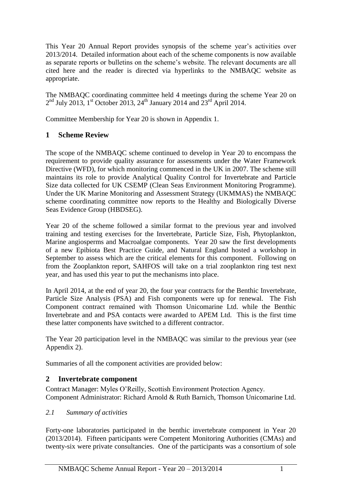This Year 20 Annual Report provides synopsis of the scheme year's activities over 2013/2014. Detailed information about each of the scheme components is now available as separate reports or bulletins on the scheme's website. The relevant documents are all cited here and the reader is directed via hyperlinks to the NMBAQC website as appropriate.

The NMBAQC coordinating committee held 4 meetings during the scheme Year 20 on  $2<sup>nd</sup>$  July 2013, 1<sup>st</sup> October 2013, 24<sup>th</sup> January 2014 and 23<sup>rd</sup> April 2014.

Committee Membership for Year 20 is shown in Appendix 1.

## <span id="page-2-0"></span>**1 Scheme Review**

The scope of the NMBAQC scheme continued to develop in Year 20 to encompass the requirement to provide quality assurance for assessments under the Water Framework Directive (WFD), for which monitoring commenced in the UK in 2007. The scheme still maintains its role to provide Analytical Quality Control for Invertebrate and Particle Size data collected for UK CSEMP (Clean Seas Environment Monitoring Programme). Under the UK Marine Monitoring and Assessment Strategy (UKMMAS) the NMBAQC scheme coordinating committee now reports to the Healthy and Biologically Diverse Seas Evidence Group (HBDSEG).

Year 20 of the scheme followed a similar format to the previous year and involved training and testing exercises for the Invertebrate, Particle Size, Fish, Phytoplankton, Marine angiosperms and Macroalgae components. Year 20 saw the first developments of a new Epibiota Best Practice Guide, and Natural England hosted a workshop in September to assess which are the critical elements for this component. Following on from the Zooplankton report, SAHFOS will take on a trial zooplankton ring test next year, and has used this year to put the mechanisms into place.

In April 2014, at the end of year 20, the four year contracts for the Benthic Invertebrate, Particle Size Analysis (PSA) and Fish components were up for renewal. The Fish Component contract remained with Thomson Unicomarine Ltd. while the Benthic Invertebrate and and PSA contacts were awarded to APEM Ltd. This is the first time these latter components have switched to a different contractor.

The Year 20 participation level in the NMBAQC was similar to the previous year (see Appendix 2).

Summaries of all the component activities are provided below:

## <span id="page-2-1"></span>**2 Invertebrate component**

Contract Manager: Myles O'Reilly, Scottish Environment Protection Agency. Component Administrator: Richard Arnold & Ruth Barnich, Thomson Unicomarine Ltd.

## <span id="page-2-2"></span>*2.1 Summary of activities*

Forty-one laboratories participated in the benthic invertebrate component in Year 20 (2013/2014). Fifteen participants were Competent Monitoring Authorities (CMAs) and twenty-six were private consultancies. One of the participants was a consortium of sole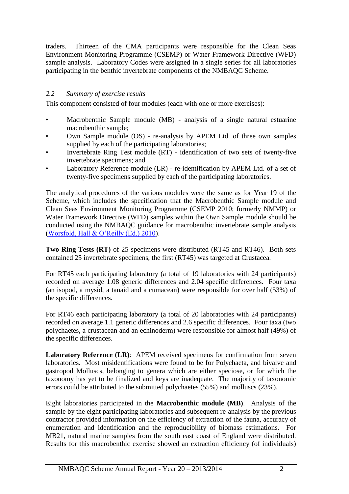traders. Thirteen of the CMA participants were responsible for the Clean Seas Environment Monitoring Programme (CSEMP) or Water Framework Directive (WFD) sample analysis. Laboratory Codes were assigned in a single series for all laboratories participating in the benthic invertebrate components of the NMBAQC Scheme.

#### <span id="page-3-0"></span>*2.2 Summary of exercise results*

This component consisted of four modules (each with one or more exercises):

- Macrobenthic Sample module (MB) analysis of a single natural estuarine macrobenthic sample;
- Own Sample module (OS) re-analysis by APEM Ltd. of three own samples supplied by each of the participating laboratories;
- Invertebrate Ring Test module (RT) identification of two sets of twenty-five invertebrate specimens; and
- Laboratory Reference module (LR) re-identification by APEM Ltd. of a set of twenty-five specimens supplied by each of the participating laboratories.

The analytical procedures of the various modules were the same as for Year 19 of the Scheme, which includes the specification that the Macrobenthic Sample module and Clean Seas Environment Monitoring Programme (CSEMP 2010; formerly NMMP) or Water Framework Directive (WFD) samples within the Own Sample module should be conducted using the NMBAQC guidance for macrobenthic invertebrate sample analysis [\(Worsfold, Hall & O'Reilly \(Ed.\) 2010\)](http://www.nmbaqcs.org/media/1175/nmbaqc-inv-prp-v10-june2010.pdf).

**Two Ring Tests (RT)** of 25 specimens were distributed (RT45 and RT46). Both sets contained 25 invertebrate specimens, the first (RT45) was targeted at Crustacea.

For RT45 each participating laboratory (a total of 19 laboratories with 24 participants) recorded on average 1.08 generic differences and 2.04 specific differences. Four taxa (an isopod, a mysid, a tanaid and a cumacean) were responsible for over half (53%) of the specific differences.

For RT46 each participating laboratory (a total of 20 laboratories with 24 participants) recorded on average 1.1 generic differences and 2.6 specific differences. Four taxa (two polychaetes, a crustacean and an echinoderm) were responsible for almost half (49%) of the specific differences.

**Laboratory Reference (LR)**: APEM received specimens for confirmation from seven laboratories. Most misidentifications were found to be for Polychaeta, and bivalve and gastropod Molluscs, belonging to genera which are either speciose, or for which the taxonomy has yet to be finalized and keys are inadequate. The majority of taxonomic errors could be attributed to the submitted polychaetes (55%) and molluscs (23%).

Eight laboratories participated in the **Macrobenthic module (MB)**. Analysis of the sample by the eight participating laboratories and subsequent re-analysis by the previous contractor provided information on the efficiency of extraction of the fauna, accuracy of enumeration and identification and the reproducibility of biomass estimations. For MB21, natural marine samples from the south east coast of England were distributed. Results for this macrobenthic exercise showed an extraction efficiency (of individuals)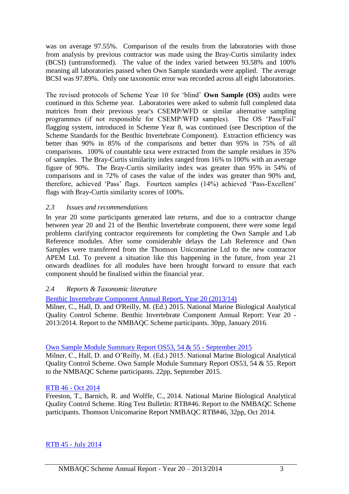was on average 97.55%. Comparison of the results from the laboratories with those from analysis by previous contractor was made using the Bray-Curtis similarity index (BCSI) (untransformed). The value of the index varied between 93.58% and 100% meaning all laboratories passed when Own Sample standards were applied. The average BCSI was 97.89%. Only one taxonomic error was recorded across all eight laboratories.

The revised protocols of Scheme Year 10 for 'blind' **Own Sample (OS)** audits were continued in this Scheme year. Laboratories were asked to submit full completed data matrices from their previous year's CSEMP/WFD or similar alternative sampling programmes (if not responsible for CSEMP/WFD samples). The OS 'Pass/Fail' flagging system, introduced in Scheme Year 8, was continued (see Description of the Scheme Standards for the Benthic Invertebrate Component). Extraction efficiency was better than 90% in 85% of the comparisons and better than 95% in 75% of all comparisons. 100% of countable taxa were extracted from the sample residues in 35% of samples. The Bray-Curtis similarity index ranged from 16% to 100% with an average figure of 90%. The Bray-Curtis similarity index was greater than 95% in 54% of comparisons and in 72% of cases the value of the index was greater than 90% and, therefore, achieved 'Pass' flags. Fourteen samples (14%) achieved 'Pass-Excellent' flags with Bray-Curtis similarity scores of 100%.

#### <span id="page-4-0"></span>*2.3 Issues and recommendations*

In year 20 some participants generated late returns, and due to a contractor change between year 20 and 21 of the Benthic Invertebrate component, there were some legal problems clarifying contractor requirements for completing the Own Sample and Lab Reference modules. After some considerable delays the Lab Reference and Own Samples were transferred from the Thomson Unicomarine Ltd to the new contractor APEM Ltd. To prevent a situation like this happening in the future, from year 21 onwards deadlines for all modules have been brought forward to ensure that each component should be finalised within the financial year.

## <span id="page-4-1"></span>*2.4 Reports & Taxonomic literature*

[Benthic Invertebrate Component Annual Report, Year 20 \(2013/14\)](http://www.nmbaqcs.org/media/1612/yr20_arep_bi_final.pdf)

Milner, C., Hall, D. and O'Reilly, M. (Ed.) 2015. National Marine Biological Analytical Quality Control Scheme. Benthic Invertebrate Component Annual Report: Year 20 - 2013/2014. Report to the NMBAQC Scheme participants. 30pp, January 2016.

#### [Own Sample Module Summary](http://www.nmbaqcs.org/scheme-components/invertebrates/reports/os-report-53-55/) Report OS53, 54 & 55 - September 2015

Milner, C., Hall, D. and O'Reilly, M. (Ed.) 2015. National Marine Biological Analytical Quality Control Scheme. Own Sample Module Summary Report OS53, 54 & 55. Report to the NMBAQC Scheme participants. 22pp, September 2015.

#### [RTB 46 -](http://www.nmbaqcs.org/scheme-components/invertebrates/reports/rtb46/) Oct 2014

Freeston, T., Barnich, R. and Wolffe, C., 2014. National Marine Biological Analytical Quality Control Scheme. Ring Test Bulletin: RTB#46. Report to the NMBAQC Scheme participants. Thomson Unicomarine Report NMBAQC RTB#46, 32pp, Oct 2014.

#### RTB 45 - [July 2014](http://www.nmbaqcs.org/scheme-components/invertebrates/reports/rtb45/)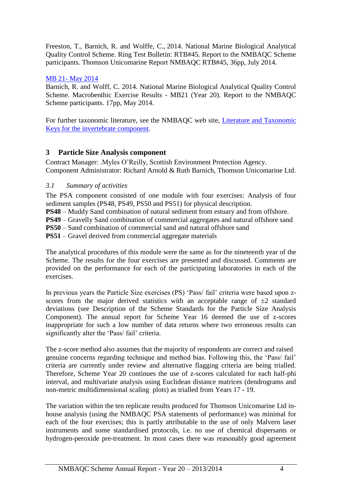Freeston, T., Barnich, R. and Wolffe, C., 2014. National Marine Biological Analytical Quality Control Scheme. Ring Test Bulletin: RTB#45. Report to the NMBAQC Scheme participants. Thomson Unicomarine Report NMBAQC RTB#45, 36pp, July 2014.

## MB 21- [May 2014](http://www.nmbaqcs.org/scheme-components/invertebrates/reports/mb21-report/)

Barnich, R. and Wolff, C. 2014. National Marine Biological Analytical Quality Control Scheme. Macrobenthic Exercise Results - MB21 (Year 20). Report to the NMBAQC Scheme participants. 17pp, May 2014.

For further taxonomic literature, see the NMBAQC web site, [Literature and Taxonomic](http://www.nmbaqcs.org/scheme-components/invertebrates/literature-and-taxonomic-keys.aspx)  [Keys for the invertebrate component.](http://www.nmbaqcs.org/scheme-components/invertebrates/literature-and-taxonomic-keys.aspx)

# <span id="page-5-0"></span>**3 Particle Size Analysis component**

Contract Manager: .Myles O'Reilly, Scottish Environment Protection Agency. Component Administrator: Richard Arnold & Ruth Barnich, Thomson Unicomarine Ltd.

# <span id="page-5-1"></span>*3.1 Summary of activities*

The PSA component consisted of one module with four exercises: Analysis of four sediment samples (PS48, PS49, PS50 and PS51) for physical description.

**PS48** – Muddy Sand combination of natural sediment from estuary and from offshore.

**PS49** – Gravelly Sand combination of commercial aggregates and natural offshore sand

**PS50** – Sand combination of commercial sand and natural offshore sand

**PS51** – Gravel derived from commercial aggregate materials

The analytical procedures of this module were the same as for the nineteenth year of the Scheme. The results for the four exercises are presented and discussed. Comments are provided on the performance for each of the participating laboratories in each of the exercises.

In previous years the Particle Size exercises (PS) 'Pass/ fail' criteria were based upon zscores from the major derived statistics with an acceptable range of  $\pm 2$  standard deviations (see Description of the Scheme Standards for the Particle Size Analysis Component). The annual report for Scheme Year 16 deemed the use of z-scores inappropriate for such a low number of data returns where two erroneous results can significantly alter the 'Pass/ fail' criteria.

The z-score method also assumes that the majority of respondents are correct and raised genuine concerns regarding technique and method bias. Following this, the 'Pass/ fail' criteria are currently under review and alternative flagging criteria are being trialled. Therefore, Scheme Year 20 continues the use of z-scores calculated for each half-phi interval, and multivariate analysis using Euclidean distance matrices (dendrograms and non-metric multidimensional scaling plots) as trialled from Years 17 - 19.

The variation within the ten replicate results produced for Thomson Unicomarine Ltd inhouse analysis (using the NMBAQC PSA statements of performance) was minimal for each of the four exercises; this is partly attributable to the use of only Malvern laser instruments and some standardised protocols, i.e. no use of chemical dispersants or hydrogen-peroxide pre-treatment. In most cases there was reasonably good agreement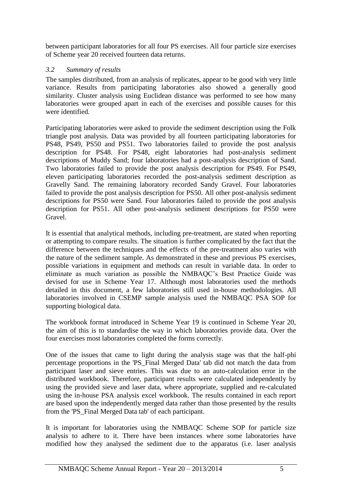between participant laboratories for all four PS exercises. All four particle size exercises of Scheme year 20 received fourteen data returns.

## <span id="page-6-0"></span>*3.2 Summary of results*

The samples distributed, from an analysis of replicates, appear to be good with very little variance. Results from participating laboratories also showed a generally good similarity. Cluster analysis using Euclidean distance was performed to see how many laboratories were grouped apart in each of the exercises and possible causes for this were identified.

Participating laboratories were asked to provide the sediment description using the Folk triangle post analysis. Data was provided by all fourteen participating laboratories for PS48, PS49, PS50 and PS51. Two laboratories failed to provide the post analysis description for PS48. For PS48, eight laboratories had post-analysis sediment descriptions of Muddy Sand; four laboratories had a post-analysis description of Sand. Two laboratories failed to provide the post analysis description for PS49. For PS49, eleven participating laboratories recorded the post-analysis sediment description as Gravelly Sand. The remaining laboratory recorded Sandy Gravel. Four laboratories failed to provide the post analysis description for PS50. All other post-analysis sediment descriptions for PS50 were Sand. Four laboratories failed to provide the post analysis description for PS51. All other post-analysis sediment descriptions for PS50 were Gravel.

It is essential that analytical methods, including pre-treatment, are stated when reporting or attempting to compare results. The situation is further complicated by the fact that the difference between the techniques and the effects of the pre-treatment also varies with the nature of the sediment sample. As demonstrated in these and previous PS exercises, possible variations in equipment and methods can result in variable data. In order to eliminate as much variation as possible the NMBAQC's Best Practice Guide was devised for use in Scheme Year 17. Although most laboratories used the methods detailed in this document, a few laboratories still used in-house methodologies. All laboratories involved in CSEMP sample analysis used the NMBAQC PSA SOP for supporting biological data.

The workbook format introduced in Scheme Year 19 is continued in Scheme Year 20, the aim of this is to standardise the way in which laboratories provide data. Over the four exercises most laboratories completed the forms correctly.

One of the issues that came to light during the analysis stage was that the half-phi percentage proportions in the 'PS\_Final Merged Data' tab did not match the data from participant laser and sieve entries. This was due to an auto-calculation error in the distributed workbook. Therefore, participant results were calculated independently by using the provided sieve and laser data, where appropriate, supplied and re-calculated using the in-house PSA analysis excel workbook. The results contained in each report are based upon the independently merged data rather than those presented by the results from the 'PS\_Final Merged Data tab' of each participant.

It is important for laboratories using the NMBAQC Scheme SOP for particle size analysis to adhere to it. There have been instances where some laboratories have modified how they analysed the sediment due to the apparatus (i.e. laser analysis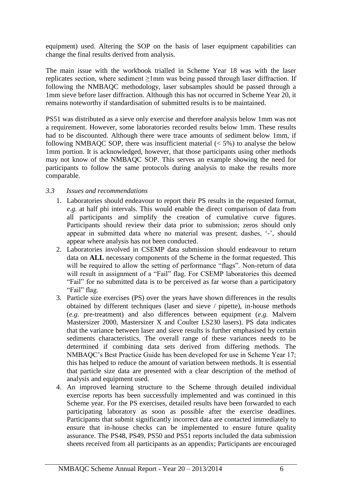equipment) used. Altering the SOP on the basis of laser equipment capabilities can change the final results derived from analysis.

The main issue with the workbook trialled in Scheme Year 18 was with the laser replicates section, where sediment ≥1mm was being passed through laser diffraction. If following the NMBAQC methodology, laser subsamples should be passed through a 1mm sieve before laser diffraction. Although this has not occurred in Scheme Year 20, it remains noteworthy if standardisation of submitted results is to be maintained.

PS51 was distributed as a sieve only exercise and therefore analysis below 1mm was not a requirement. However, some laboratories recorded results below 1mm. These results had to be discounted. Although there were trace amounts of sediment below 1mm, if following NMBAQC SOP, there was insufficient material  $(< 5\%$ ) to analyse the below 1mm portion. It is acknowledged, however, that those participants using other methods may not know of the NMBAQC SOP. This serves an example showing the need for participants to follow the same protocols during analysis to make the results more comparable.

#### <span id="page-7-0"></span>*3.3 Issues and recommendations*

- 1. Laboratories should endeavour to report their PS results in the requested format, *e*.*g.* at half phi intervals. This would enable the direct comparison of data from all participants and simplify the creation of cumulative curve figures. Participants should review their data prior to submission; zeros should only appear in submitted data where no material was present; dashes, '-', should appear where analysis has not been conducted.
- 2. Laboratories involved in CSEMP data submission should endeavour to return data on **ALL** necessary components of the Scheme in the format requested. This will be required to allow the setting of performance "flags". Non-return of data will result in assignment of a "Fail" flag. For CSEMP laboratories this deemed "Fail" for no submitted data is to be perceived as far worse than a participatory "Fail" flag.
- 3. Particle size exercises (PS) over the years have shown differences in the results obtained by different techniques (laser and sieve / pipette), in-house methods (*e.g.* pre-treatment) and also differences between equipment (*e.g.* Malvern Mastersizer 2000, Mastersizer X and Coulter LS230 lasers). PS data indicates that the variance between laser and sieve results is further emphasised by certain sediments characteristics. The overall range of these variances needs to be determined if combining data sets derived from differing methods. The NMBAQC's Best Practice Guide has been developed for use in Scheme Year 17; this has helped to reduce the amount of variation between methods. It is essential that particle size data are presented with a clear description of the method of analysis and equipment used.
- 4. An improved learning structure to the Scheme through detailed individual exercise reports has been successfully implemented and was continued in this Scheme year. For the PS exercises, detailed results have been forwarded to each participating laboratory as soon as possible after the exercise deadlines. Participants that submit significantly incorrect data are contacted immediately to ensure that in-house checks can be implemented to ensure future quality assurance. The PS48, PS49, PS50 and PS51 reports included the data submission sheets received from all participants as an appendix; Participants are encouraged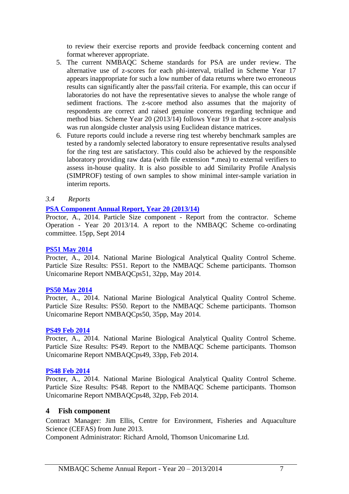to review their exercise reports and provide feedback concerning content and format wherever appropriate.

- 5. The current NMBAQC Scheme standards for PSA are under review. The alternative use of z-scores for each phi-interval, trialled in Scheme Year 17 appears inappropriate for such a low number of data returns where two erroneous results can significantly alter the pass/fail criteria. For example, this can occur if laboratories do not have the representative sieves to analyse the whole range of sediment fractions. The z-score method also assumes that the majority of respondents are correct and raised genuine concerns regarding technique and method bias. Scheme Year 20 (2013/14) follows Year 19 in that z-score analysis was run alongside cluster analysis using Euclidean distance matrices.
- 6. Future reports could include a reverse ring test whereby benchmark samples are tested by a randomly selected laboratory to ensure representative results analysed for the ring test are satisfactory. This could also be achieved by the responsible laboratory providing raw data (with file extension \*.mea) to external verifiers to assess in-house quality. It is also possible to add Similarity Profile Analysis (SIMPROF) testing of own samples to show minimal inter-sample variation in interim reports.
- <span id="page-8-0"></span>*3.4 Reports*

#### **[PSA Component Annual Report, Year 20 \(2013/14\)](http://www.nmbaqcs.org/scheme-components/particle-size-analysis/reports/yr20-psa-annual-report.aspx)**

Proctor, A., 2014. Particle Size component - Report from the contractor. Scheme Operation - Year 20 2013/14. A report to the NMBAQC Scheme co-ordinating committee. 15pp, Sept 2014

#### **[PS51 May 2014](http://www.nmbaqcs.org/scheme-components/particle-size-analysis/reports/ps51.aspx)**

Procter, A., 2014. National Marine Biological Analytical Quality Control Scheme. Particle Size Results: PS51. Report to the NMBAQC Scheme participants. Thomson Unicomarine Report NMBAQCps51, 32pp, May 2014.

#### **[PS50 May 2014](http://www.nmbaqcs.org/scheme-components/particle-size-analysis/reports/ps50.aspx)**

Procter, A., 2014. National Marine Biological Analytical Quality Control Scheme. Particle Size Results: PS50. Report to the NMBAQC Scheme participants. Thomson Unicomarine Report NMBAQCps50, 35pp, May 2014.

#### **[PS49 Feb 2014](http://www.nmbaqcs.org/scheme-components/particle-size-analysis/reports/ps49.aspx)**

Procter, A., 2014. National Marine Biological Analytical Quality Control Scheme. Particle Size Results: PS49. Report to the NMBAQC Scheme participants. Thomson Unicomarine Report NMBAQCps49, 33pp, Feb 2014.

#### **[PS48 Feb 2014](http://www.nmbaqcs.org/scheme-components/particle-size-analysis/reports/ps48.aspx)**

Procter, A., 2014. National Marine Biological Analytical Quality Control Scheme. Particle Size Results: PS48. Report to the NMBAQC Scheme participants. Thomson Unicomarine Report NMBAQCps48, 32pp, Feb 2014.

#### <span id="page-8-1"></span>**4 Fish component**

Contract Manager: Jim Ellis, Centre for Environment, Fisheries and Aquaculture Science (CEFAS) from June 2013.

Component Administrator: Richard Arnold, Thomson Unicomarine Ltd.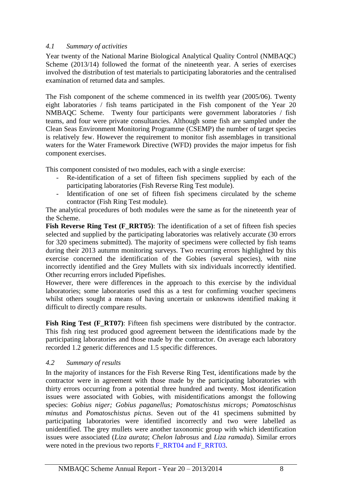#### <span id="page-9-0"></span>*4.1 Summary of activities*

Year twenty of the National Marine Biological Analytical Quality Control (NMBAQC) Scheme (2013/14) followed the format of the nineteenth year. A series of exercises involved the distribution of test materials to participating laboratories and the centralised examination of returned data and samples.

The Fish component of the scheme commenced in its twelfth year (2005/06). Twenty eight laboratories / fish teams participated in the Fish component of the Year 20 NMBAQC Scheme. Twenty four participants were government laboratories / fish teams, and four were private consultancies. Although some fish are sampled under the Clean Seas Environment Monitoring Programme (CSEMP) the number of target species is relatively few. However the requirement to monitor fish assemblages in transitional waters for the Water Framework Directive (WFD) provides the major impetus for fish component exercises.

This component consisted of two modules, each with a single exercise:

- Re-identification of a set of fifteen fish specimens supplied by each of the participating laboratories (Fish Reverse Ring Test module).
- Identification of one set of fifteen fish specimens circulated by the scheme contractor (Fish Ring Test module).

The analytical procedures of both modules were the same as for the nineteenth year of the Scheme.

**Fish Reverse Ring Test (F\_RRT05):** The identification of a set of fifteen fish species selected and supplied by the participating laboratories was relatively accurate (30 errors for 320 specimens submitted). The majority of specimens were collected by fish teams during their 2013 autumn monitoring surveys. Two recurring errors highlighted by this exercise concerned the identification of the Gobies (several species), with nine incorrectly identified and the Grey Mullets with six individuals incorrectly identified. Other recurring errors included Pipefishes.

However, there were differences in the approach to this exercise by the individual laboratories; some laboratories used this as a test for confirming voucher specimens whilst others sought a means of having uncertain or unknowns identified making it difficult to directly compare results.

**Fish Ring Test (F\_RT07):** Fifteen fish specimens were distributed by the contractor. This fish ring test produced good agreement between the identifications made by the participating laboratories and those made by the contractor. On average each laboratory recorded 1.2 generic differences and 1.5 specific differences.

#### <span id="page-9-1"></span>*4.2 Summary of results*

In the majority of instances for the Fish Reverse Ring Test, identifications made by the contractor were in agreement with those made by the participating laboratories with thirty errors occurring from a potential three hundred and twenty. Most identification issues were associated with Gobies, with misidentifications amongst the following species: *Gobius niger; Gobius paganellus; Pomatoschistus microps; Pomatoschistus minutus* and *Pomatoschistus pictus*. Seven out of the 41 specimens submitted by participating laboratories were identified incorrectly and two were labelled as unidentified. The grey mullets were another taxonomic group with which identification issues were associated (*Liza aurata*; *Chelon labrosus* and *Liza ramada*). Similar errors were noted in the previous two reports F\_RRT04 and F\_RRT03.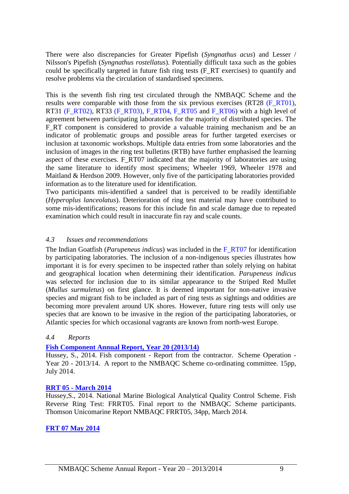There were also discrepancies for Greater Pipefish (*Syngnathus acus*) and Lesser / Nilsson's Pipefish (*Syngnathus rostellatus*). Potentially difficult taxa such as the gobies could be specifically targeted in future fish ring tests (F\_RT exercises) to quantify and resolve problems via the circulation of standardised specimens.

This is the seventh fish ring test circulated through the NMBAQC Scheme and the results were comparable with those from the six previous exercises (RT28 (F\_RT01), RT31 (F\_RT02), RT33 (F\_RT03), F\_RT04, F\_RT05 and F\_RT06) with a high level of agreement between participating laboratories for the majority of distributed species. The F<sub>RT</sub> component is considered to provide a valuable training mechanism and be an indicator of problematic groups and possible areas for further targeted exercises or inclusion at taxonomic workshops. Multiple data entries from some laboratories and the inclusion of images in the ring test bulletins (RTB) have further emphasised the learning aspect of these exercises. F\_RT07 indicated that the majority of laboratories are using the same literature to identify most specimens; Wheeler 1969, Wheeler 1978 and Maitland & Herdson 2009. However, only five of the participating laboratories provided information as to the literature used for identification.

Two participants mis-identified a sandeel that is perceived to be readily identifiable (*Hyperoplus lanceolatus*). Deterioration of ring test material may have contributed to some mis-identifications; reasons for this include fin and scale damage due to repeated examination which could result in inaccurate fin ray and scale counts.

#### <span id="page-10-0"></span>*4.3 Issues and recommendations*

The Indian Goatfish (*Parupeneus indicus*) was included in the F\_RT07 for identification by participating laboratories. The inclusion of a non-indigenous species illustrates how important it is for every specimen to be inspected rather than solely relying on habitat and geographical location when determining their identification. *Parupeneus indicus* was selected for inclusion due to its similar appearance to the Striped Red Mullet (*Mullus surmuletus*) on first glance. It is deemed important for non-native invasive species and migrant fish to be included as part of ring tests as sightings and oddities are becoming more prevalent around UK shores. However, future ring tests will only use species that are known to be invasive in the region of the participating laboratories, or Atlantic species for which occasional vagrants are known from north-west Europe.

## <span id="page-10-1"></span>*4.4 Reports*

#### **[Fish Component Annual Report, Year 20 \(2013/14\)](http://www.nmbaqcs.org/scheme-components/fish/reports/year-20-fish-annual-report.aspx)**

Hussey, S., 2014. Fish component - Report from the contractor. Scheme Operation - Year 20 - 2013/14. A report to the NMBAQC Scheme co-ordinating committee. 15pp, July 2014.

#### **RRT 05 - [March 2014](http://www.nmbaqcs.org/scheme-components/fish/reports/rrt05.aspx)**

Hussey,S., 2014. National Marine Biological Analytical Quality Control Scheme. Fish Reverse Ring Test: FRRT05. Final report to the NMBAQC Scheme participants. Thomson Unicomarine Report NMBAQC FRRT05, 34pp, March 2014.

#### **[FRT 07 May 2014](http://www.nmbaqcs.org/scheme-components/fish/reports/frt07.aspx)**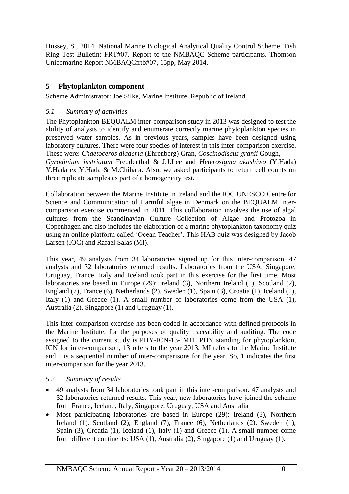Hussey, S., 2014. National Marine Biological Analytical Quality Control Scheme. Fish Ring Test Bulletin: FRT#07. Report to the NMBAQC Scheme participants. Thomson Unicomarine Report NMBAQCfrtb#07, 15pp, May 2014.

# <span id="page-11-0"></span>**5 Phytoplankton component**

Scheme Administrator: Joe Silke, Marine Institute, Republic of Ireland.

# <span id="page-11-1"></span>*5.1 Summary of activities*

The Phytoplankton BEQUALM inter-comparison study in 2013 was designed to test the ability of analysts to identify and enumerate correctly marine phytoplankton species in preserved water samples. As in previous years, samples have been designed using laboratory cultures. There were four species of interest in this inter-comparison exercise. These were: *Chaetoceros diadema* (Ehrenberg) Gran, *Coscinodiscus granii* Gough, *Gyrodinium instriatum* Freudenthal & J.J.Lee and *Heterosigma akashiwo* (Y.Hada)

Y.Hada ex Y.Hada & M.Chihara. Also, we asked participants to return cell counts on three replicate samples as part of a homogeneity test.

Collaboration between the Marine Institute in Ireland and the IOC UNESCO Centre for Science and Communication of Harmful algae in Denmark on the BEQUALM intercomparison exercise commenced in 2011. This collaboration involves the use of algal cultures from the Scandinavian Culture Collection of Algae and Protozoa in Copenhagen and also includes the elaboration of a marine phytoplankton taxonomy quiz using an online platform called 'Ocean Teacher'. This HAB quiz was designed by Jacob Larsen (IOC) and Rafael Salas (MI).

This year, 49 analysts from 34 laboratories signed up for this inter-comparison. 47 analysts and 32 laboratories returned results. Laboratories from the USA, Singapore, Uruguay, France, Italy and Iceland took part in this exercise for the first time. Most laboratories are based in Europe (29): Ireland (3), Northern Ireland (1), Scotland (2), England (7), France (6), Netherlands (2), Sweden (1), Spain (3), Croatia (1), Iceland (1), Italy (1) and Greece (1). A small number of laboratories come from the USA (1), Australia (2), Singapore (1) and Uruguay (1).

This inter-comparison exercise has been coded in accordance with defined protocols in the Marine Institute, for the purposes of quality traceability and auditing. The code assigned to the current study is PHY-ICN-13- MI1. PHY standing for phytoplankton, ICN for inter-comparison, 13 refers to the year 2013, MI refers to the Marine Institute and 1 is a sequential number of inter-comparisons for the year. So, 1 indicates the first inter-comparison for the year 2013.

# <span id="page-11-2"></span>*5.2 Summary of results*

- 49 analysts from 34 laboratories took part in this inter-comparison. 47 analysts and 32 laboratories returned results. This year, new laboratories have joined the scheme from France, Iceland, Italy, Singapore, Uruguay, USA and Australia
- Most participating laboratories are based in Europe (29): Ireland (3), Northern Ireland (1), Scotland (2), England (7), France (6), Netherlands (2), Sweden (1), Spain (3), Croatia (1), Iceland (1), Italy (1) and Greece (1). A small number come from different continents: USA (1), Australia (2), Singapore (1) and Uruguay (1).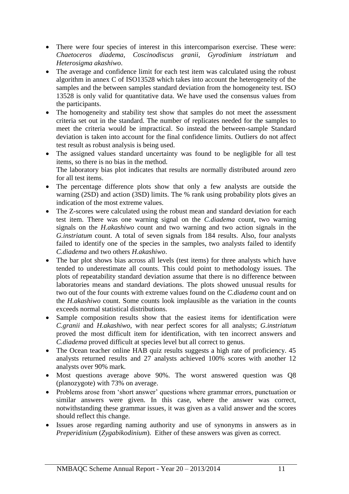- There were four species of interest in this intercomparison exercise. These were: *Chaetoceros diadema, Coscinodiscus granii, Gyrodinium instriatum* and *Heterosigma akashiwo*.
- The average and confidence limit for each test item was calculated using the robust algorithm in annex C of ISO13528 which takes into account the heterogeneity of the samples and the between samples standard deviation from the homogeneity test. ISO 13528 is only valid for quantitative data. We have used the consensus values from the participants.
- The homogeneity and stability test show that samples do not meet the assessment criteria set out in the standard. The number of replicates needed for the samples to meet the criteria would be impractical. So instead the between-sample Standard deviation is taken into account for the final confidence limits. Outliers do not affect test result as robust analysis is being used.
- The assigned values standard uncertainty was found to be negligible for all test items, so there is no bias in the method. The laboratory bias plot indicates that results are normally distributed around zero for all test items.
- The percentage difference plots show that only a few analysts are outside the warning (2SD) and action (3SD) limits. The % rank using probability plots gives an indication of the most extreme values.
- The Z-scores were calculated using the robust mean and standard deviation for each test item. There was one warning signal on the *C.diadema* count, two warning signals on the *H.akashiwo* count and two warning and two action signals in the *G.instriatum* count. A total of seven signals from 184 results. Also, four analysts failed to identify one of the species in the samples, two analysts failed to identify *C.diadema* and two others *H.akashiwo*.
- The bar plot shows bias across all levels (test items) for three analysts which have tended to underestimate all counts. This could point to methodology issues. The plots of repeatability standard deviation assume that there is no difference between laboratories means and standard deviations. The plots showed unusual results for two out of the four counts with extreme values found on the *C.diadema* count and on the *H.akashiwo* count. Some counts look implausible as the variation in the counts exceeds normal statistical distributions.
- Sample composition results show that the easiest items for identification were *C.granii* and *H.akashiwo*, with near perfect scores for all analysts; *G.instriatum* proved the most difficult item for identification, with ten incorrect answers and *C.diadema* proved difficult at species level but all correct to genus.
- The Ocean teacher online HAB quiz results suggests a high rate of proficiency. 45 analysts returned results and 27 analysts achieved 100% scores with another 12 analysts over 90% mark.
- Most questions average above 90%. The worst answered question was Q8 (planozygote) with 73% on average.
- Problems arose from 'short answer' questions where grammar errors, punctuation or similar answers were given. In this case, where the answer was correct, notwithstanding these grammar issues, it was given as a valid answer and the scores should reflect this change.
- Issues arose regarding naming authority and use of synonyms in answers as in *Preperidinium* (*Zygabikodinium*). Either of these answers was given as correct.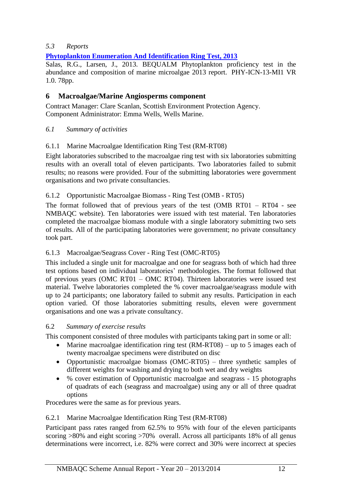## <span id="page-13-0"></span>*5.3 Reports*

**[Phytoplankton Enumeration And Identification Ring Test, 2013](http://www.nmbaqcs.org/scheme-components/phytoplankton/reports/phyto-rpt-2013.aspx)**

Salas, R.G., Larsen, J., 2013. BEQUALM Phytoplankton proficiency test in the abundance and composition of marine microalgae 2013 report. PHY-ICN-13-MI1 VR 1.0. 78pp.

## <span id="page-13-1"></span>**6 Macroalgae/Marine Angiosperms component**

Contract Manager: Clare Scanlan, Scottish Environment Protection Agency. Component Administrator: Emma Wells, Wells Marine.

<span id="page-13-2"></span>*6.1 Summary of activities*

#### 6.1.1 Marine Macroalgae Identification Ring Test (RM-RT08)

Eight laboratories subscribed to the macroalgae ring test with six laboratories submitting results with an overall total of eleven participants. Two laboratories failed to submit results; no reasons were provided. Four of the submitting laboratories were government organisations and two private consultancies.

#### 6.1.2 Opportunistic Macroalgae Biomass - Ring Test (OMB - RT05)

The format followed that of previous years of the test (OMB RT01 – RT04 - see NMBAQC website). Ten laboratories were issued with test material. Ten laboratories completed the macroalgae biomass module with a single laboratory submitting two sets of results. All of the participating laboratories were government; no private consultancy took part.

## 6.1.3 Macroalgae/Seagrass Cover - Ring Test (OMC-RT05)

This included a single unit for macroalgae and one for seagrass both of which had three test options based on individual laboratories' methodologies. The format followed that of previous years (OMC RT01 – OMC RT04). Thirteen laboratories were issued test material. Twelve laboratories completed the % cover macroalgae/seagrass module with up to 24 participants; one laboratory failed to submit any results. Participation in each option varied. Of those laboratories submitting results, eleven were government organisations and one was a private consultancy.

#### <span id="page-13-3"></span>6.2 *Summary of exercise results*

This component consisted of three modules with participants taking part in some or all:

- Marine macroalgae identification ring test  $(RM-RT08)$  up to 5 images each of twenty macroalgae specimens were distributed on disc
- Opportunistic macroalgae biomass (OMC-RT05) three synthetic samples of different weights for washing and drying to both wet and dry weights
- % cover estimation of Opportunistic macroalgae and seagrass 15 photographs of quadrats of each (seagrass and macroalgae) using any or all of three quadrat options

Procedures were the same as for previous years.

#### 6.2.1 Marine Macroalgae Identification Ring Test (RM-RT08)

Participant pass rates ranged from 62.5% to 95% with four of the eleven participants scoring >80% and eight scoring >70% overall. Across all participants 18% of all genus determinations were incorrect, i.e. 82% were correct and 30% were incorrect at species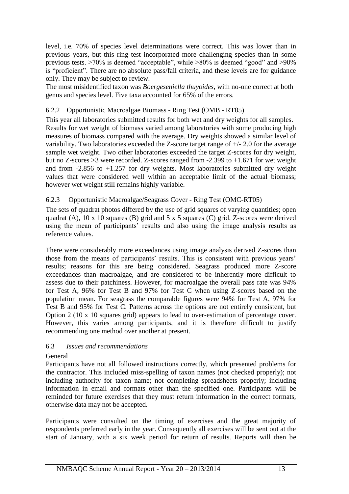level, i.e. 70% of species level determinations were correct. This was lower than in previous years, but this ring test incorporated more challenging species than in some previous tests. >70% is deemed "acceptable", while >80% is deemed "good" and >90% is "proficient". There are no absolute pass/fail criteria, and these levels are for guidance only. They may be subject to review.

The most misidentified taxon was *Boergeseniella thuyoides*, with no-one correct at both genus and species level. Five taxa accounted for 65% of the errors.

#### 6.2.2 Opportunistic Macroalgae Biomass - Ring Test (OMB - RT05)

This year all laboratories submitted results for both wet and dry weights for all samples. Results for wet weight of biomass varied among laboratories with some producing high measures of biomass compared with the average. Dry weights showed a similar level of variability. Two laboratories exceeded the Z-score target range of +/- 2.0 for the average sample wet weight. Two other laboratories exceeded the target Z-scores for dry weight, but no Z-scores >3 were recorded. Z-scores ranged from -2.399 to +1.671 for wet weight and from  $-2.856$  to  $+1.257$  for dry weights. Most laboratories submitted dry weight values that were considered well within an acceptable limit of the actual biomass; however wet weight still remains highly variable.

#### 6.2.3 Opportunistic Macroalgae/Seagrass Cover - Ring Test (OMC-RT05)

The sets of quadrat photos differed by the use of grid squares of varying quantities; open quadrat (A),  $10 \times 10$  squares (B) grid and  $5 \times 5$  squares (C) grid. Z-scores were derived using the mean of participants' results and also using the image analysis results as reference values.

There were considerably more exceedances using image analysis derived Z-scores than those from the means of participants' results. This is consistent with previous years' results; reasons for this are being considered. Seagrass produced more Z-score exceedances than macroalgae, and are considered to be inherently more difficult to assess due to their patchiness. However, for macroalgae the overall pass rate was 94% for Test A, 96% for Test B and 97% for Test C when using Z-scores based on the population mean. For seagrass the comparable figures were 94% for Test A, 97% for Test B and 95% for Test C. Patterns across the options are not entirely consistent, but Option 2 (10 x 10 squares grid) appears to lead to over-estimation of percentage cover. However, this varies among participants, and it is therefore difficult to justify recommending one method over another at present.

#### 6.3 *Issues and recommendations*

General

Participants have not all followed instructions correctly, which presented problems for the contractor. This included miss-spelling of taxon names (not checked properly); not including authority for taxon name; not completing spreadsheets properly; including information in email and formats other than the specified one. Participants will be reminded for future exercises that they must return information in the correct formats, otherwise data may not be accepted.

Participants were consulted on the timing of exercises and the great majority of respondents preferred early in the year. Consequently all exercises will be sent out at the start of January, with a six week period for return of results. Reports will then be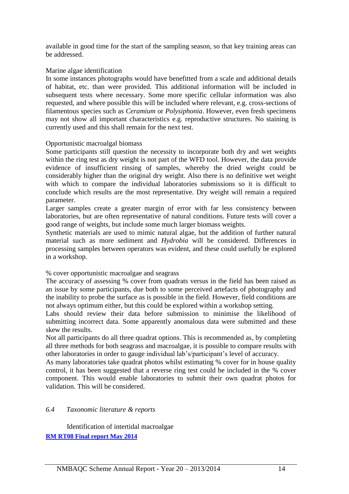available in good time for the start of the sampling season, so that key training areas can be addressed.

#### Marine algae identification

In some instances photographs would have benefitted from a scale and additional details of habitat, etc. than were provided. This additional information will be included in subsequent tests where necessary. Some more specific cellular information was also requested, and where possible this will be included where relevant, e.g. cross-sections of filamentous species such as *Ceramium* or *Polysiphonia*. However, even fresh specimens may not show all important characteristics e.g. reproductive structures. No staining is currently used and this shall remain for the next test.

#### Opportunistic macroalgal biomass

Some participants still question the necessity to incorporate both dry and wet weights within the ring test as dry weight is not part of the WFD tool. However, the data provide evidence of insufficient rinsing of samples, whereby the dried weight could be considerably higher than the original dry weight. Also there is no definitive wet weight with which to compare the individual laboratories submissions so it is difficult to conclude which results are the most representative. Dry weight will remain a required parameter.

Larger samples create a greater margin of error with far less consistency between laboratories, but are often representative of natural conditions. Future tests will cover a good range of weights, but include some much larger biomass weights.

Synthetic materials are used to mimic natural algae, but the addition of further natural material such as more sediment and *Hydrobia* will be considered. Differences in processing samples between operators was evident, and these could usefully be explored in a workshop.

% cover opportunistic macroalgae and seagrass

The accuracy of assessing % cover from quadrats versus in the field has been raised as an issue by some participants, due both to some perceived artefacts of photography and the inability to probe the surface as is possible in the field. However, field conditions are not always optimum either, but this could be explored within a workshop setting.

Labs should review their data before submission to minimise the likelihood of submitting incorrect data. Some apparently anomalous data were submitted and these skew the results.

Not all participants do all three quadrat options. This is recommended as, by completing all three methods for both seagrass and macroalgae, it is possible to compare results with other laboratories in order to gauge individual lab's/participant's level of accuracy.

As many laboratories take quadrat photos whilst estimating % cover for in house quality control, it has been suggested that a reverse ring test could be included in the % cover component. This would enable laboratories to submit their own quadrat photos for validation. This will be considered.

## <span id="page-15-0"></span>*6.4 Taxonomic literature & reports*

Identification of intertidal macroalgae **[RM RT08 Final report May 2014](http://www.nmbaqcs.org/scheme-components/macroalgae/reports/rm-rt08-final.aspx)**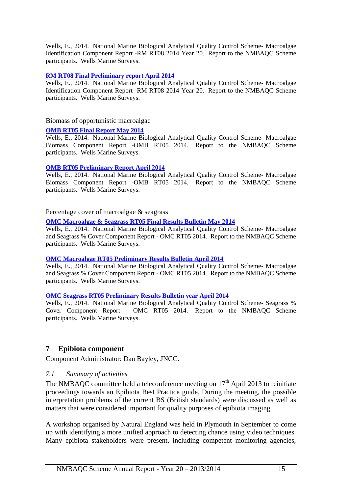Wells, E., 2014. National Marine Biological Analytical Quality Control Scheme- Macroalgae Identification Component Report -RM RT08 2014 Year 20. Report to the NMBAQC Scheme participants. Wells Marine Surveys.

#### **[RM RT08 Final Preliminary report April 2014](http://www.nmbaqcs.org/scheme-components/macroalgae/reports/rm-rt08-prelim.aspx)**

Wells, E., 2014. National Marine Biological Analytical Quality Control Scheme- Macroalgae Identification Component Report -RM RT08 2014 Year 20. Report to the NMBAQC Scheme participants. Wells Marine Surveys.

#### Biomass of opportunistic macroalgae

#### **[OMB RT05 Final Report May 2014](http://www.nmbaqcs.org/scheme-components/macroalgae/reports/omb-rt05-final.aspx)**

Wells, E., 2014. National Marine Biological Analytical Quality Control Scheme- Macroalgae Biomass Component Report -OMB RT05 2014. Report to the NMBAQC Scheme participants. Wells Marine Surveys.

#### **[OMB RT05 Preliminary Report April 2014](http://www.nmbaqcs.org/scheme-components/macroalgae/reports/omb-rt05-prelim.aspx)**

Wells, E., 2014. National Marine Biological Analytical Quality Control Scheme- Macroalgae Biomass Component Report -OMB RT05 2014. Report to the NMBAQC Scheme participants. Wells Marine Surveys.

Percentage cover of macroalgae & seagrass

**[OMC Macroalgae & Seagrass RT05 Final Results Bulletin May 2014](http://www.nmbaqcs.org/scheme-components/macroalgae/reports/omc-rt05-macroalg-final.aspx)**

Wells, E., 2014. National Marine Biological Analytical Quality Control Scheme- Macroalgae and Seagrass % Cover Component Report - OMC RT05 2014. Report to the NMBAQC Scheme participants. Wells Marine Surveys.

#### **[OMC Macroalgae RT05 Preliminary Results Bulletin April 2014](http://www.nmbaqcs.org/scheme-components/macroalgae/reports/omc-rt05-macroalg-prelim.aspx)**

Wells, E., 2014. National Marine Biological Analytical Quality Control Scheme- Macroalgae and Seagrass % Cover Component Report - OMC RT05 2014. Report to the NMBAQC Scheme participants. Wells Marine Surveys.

#### **[OMC Seagrass RT05 Preliminary Results Bulletin year April 2014](http://www.nmbaqcs.org/scheme-components/macroalgae/reports/omc-rt05-seagrass-prelim.aspx)**

Wells, E., 2014. National Marine Biological Analytical Quality Control Scheme- Seagrass % Cover Component Report - OMC RT05 2014. Report to the NMBAQC Scheme participants. Wells Marine Surveys.

## <span id="page-16-0"></span>**7 Epibiota component**

Component Administrator: Dan Bayley, JNCC.

#### <span id="page-16-1"></span>*7.1 Summary of activities*

The NMBAQC committee held a teleconference meeting on  $17<sup>th</sup>$  April 2013 to reinitiate proceedings towards an Epibiota Best Practice guide. During the meeting, the possible interpretation problems of the current BS (British standards) were discussed as well as matters that were considered important for quality purposes of epibiota imaging.

A workshop organised by Natural England was held in Plymouth in September to come up with identifying a more unified approach to detecting chance using video techniques. Many epibiota stakeholders were present, including competent monitoring agencies,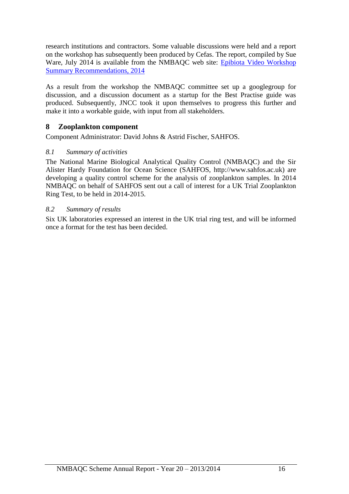research institutions and contractors. Some valuable discussions were held and a report on the workshop has subsequently been produced by Cefas. The report, compiled by Sue Ware, July 2014 is available from the NMBAOC web site: Epibiota Video Workshop [Summary Recommendations, 2014](http://www.nmbaqcs.org/scheme-components/epibiota/epibiota-video-workshop/)

As a result from the workshop the NMBAQC committee set up a googlegroup for discussion, and a discussion document as a startup for the Best Practise guide was produced. Subsequently, JNCC took it upon themselves to progress this further and make it into a workable guide, with input from all stakeholders.

## <span id="page-17-0"></span>**8 Zooplankton component**

Component Administrator: David Johns & Astrid Fischer, SAHFOS.

#### <span id="page-17-1"></span>*8.1 Summary of activities*

The National Marine Biological Analytical Quality Control (NMBAQC) and the Sir Alister Hardy Foundation for Ocean Science (SAHFOS, http://www.sahfos.ac.uk) are developing a quality control scheme for the analysis of zooplankton samples. In 2014 NMBAQC on behalf of SAHFOS sent out a call of interest for a UK Trial Zooplankton Ring Test, to be held in 2014-2015.

#### <span id="page-17-2"></span>*8.2 Summary of results*

Six UK laboratories expressed an interest in the UK trial ring test, and will be informed once a format for the test has been decided.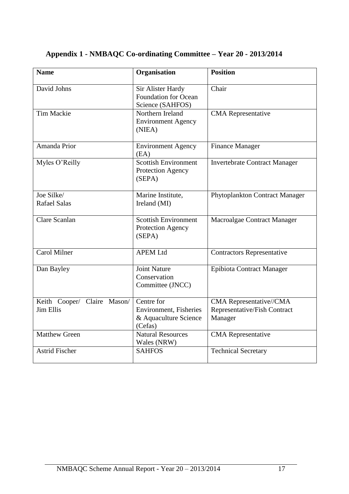| <b>Name</b>                              | Organisation                                                             | <b>Position</b>                                                    |
|------------------------------------------|--------------------------------------------------------------------------|--------------------------------------------------------------------|
| David Johns                              | Sir Alister Hardy<br><b>Foundation for Ocean</b><br>Science (SAHFOS)     | Chair                                                              |
| <b>Tim Mackie</b>                        | Northern Ireland<br><b>Environment Agency</b><br>(NIEA)                  | <b>CMA</b> Representative                                          |
| Amanda Prior                             | <b>Environment Agency</b><br>(EA)                                        | <b>Finance Manager</b>                                             |
| Myles O'Reilly                           | <b>Scottish Environment</b><br>Protection Agency<br>(SEPA)               | <b>Invertebrate Contract Manager</b>                               |
| Joe Silke/<br><b>Rafael Salas</b>        | Marine Institute,<br>Ireland (MI)                                        | Phytoplankton Contract Manager                                     |
| Clare Scanlan                            | <b>Scottish Environment</b><br>Protection Agency<br>(SEPA)               | Macroalgae Contract Manager                                        |
| Carol Milner                             | <b>APEM Ltd</b>                                                          | <b>Contractors Representative</b>                                  |
| Dan Bayley                               | <b>Joint Nature</b><br>Conservation<br>Committee (JNCC)                  | <b>Epibiota Contract Manager</b>                                   |
| Keith Cooper/ Claire Mason/<br>Jim Ellis | Centre for<br>Environment, Fisheries<br>& Aquaculture Science<br>(Cefas) | CMA Representative//CMA<br>Representative/Fish Contract<br>Manager |
| <b>Matthew Green</b>                     | <b>Natural Resources</b><br>Wales (NRW)                                  | <b>CMA</b> Representative                                          |
| <b>Astrid Fischer</b>                    | <b>SAHFOS</b>                                                            | <b>Technical Secretary</b>                                         |

# <span id="page-18-0"></span>**Appendix 1 - NMBAQC Co-ordinating Committee – Year 20 - 2013/2014**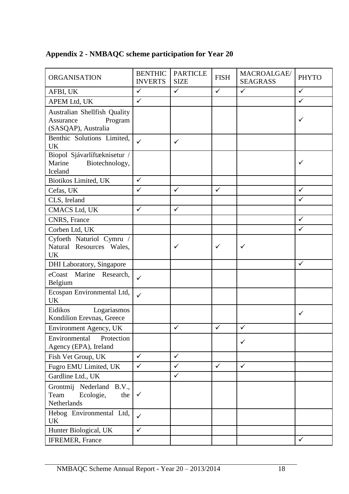| <b>ORGANISATION</b>                                                         | <b>BENTHIC</b> | <b>PARTICLE</b> | <b>FISH</b>  | MACROALGAE/     | <b>PHYTO</b> |
|-----------------------------------------------------------------------------|----------------|-----------------|--------------|-----------------|--------------|
|                                                                             | <b>INVERTS</b> | <b>SIZE</b>     |              | <b>SEAGRASS</b> |              |
| AFBI, UK                                                                    | $\checkmark$   | $\checkmark$    | $\checkmark$ | $\checkmark$    | $\checkmark$ |
| APEM Ltd, UK                                                                | $\checkmark$   |                 |              |                 | $\checkmark$ |
| Australian Shellfish Quality<br>Assurance<br>Program<br>(SASQAP), Australia |                |                 |              |                 | ✓            |
| Benthic Solutions Limited,<br><b>UK</b>                                     | $\checkmark$   | $\checkmark$    |              |                 |              |
| Biopol Sjávarlíftæknisetur /<br>Marine<br>Biotechnology,<br>Iceland         |                |                 |              |                 | ✓            |
| Biotikos Limited, UK                                                        | $\checkmark$   |                 |              |                 |              |
| Cefas, UK                                                                   | $\checkmark$   | $\checkmark$    | $\checkmark$ |                 | $\checkmark$ |
| CLS, Ireland                                                                |                |                 |              |                 | $\checkmark$ |
| <b>CMACS Ltd, UK</b>                                                        | $\checkmark$   | $\checkmark$    |              |                 |              |
| CNRS, France                                                                |                |                 |              |                 | $\checkmark$ |
| Corben Ltd, UK                                                              |                |                 |              |                 | $\checkmark$ |
| Cyfoeth Naturiol Cymru /<br>Natural Resources Wales,<br><b>UK</b>           |                | ✓               | ✓            | ✓               |              |
| <b>DHI Laboratory, Singapore</b>                                            |                |                 |              |                 | $\checkmark$ |
| eCoast Marine Research,<br>Belgium                                          | $\checkmark$   |                 |              |                 |              |
| Ecospan Environmental Ltd,<br><b>UK</b>                                     | $\checkmark$   |                 |              |                 |              |
| Eidikos<br>Logariasmos<br>Kondilion Erevnas, Greece                         |                |                 |              |                 | ✓            |
| Environment Agency, UK                                                      |                | $\checkmark$    | $\checkmark$ | $\checkmark$    |              |
| Protection<br>Environmental<br>Agency (EPA), Ireland                        |                |                 |              | $\checkmark$    |              |
| Fish Vet Group, UK                                                          | $\checkmark$   | $\checkmark$    |              |                 |              |
| Fugro EMU Limited, UK                                                       | $\checkmark$   | $\checkmark$    | $\checkmark$ | $\checkmark$    |              |
| Gardline Ltd., UK                                                           |                | $\checkmark$    |              |                 |              |
| Grontmij Nederland B.V.,<br>Team<br>Ecologie,<br>the<br>Netherlands         | $\checkmark$   |                 |              |                 |              |
| Hebog Environmental Ltd,<br>UK                                              | $\checkmark$   |                 |              |                 |              |
| Hunter Biological, UK                                                       | $\checkmark$   |                 |              |                 |              |
| IFREMER, France                                                             |                |                 |              |                 | $\checkmark$ |

# <span id="page-19-0"></span>**Appendix 2 - NMBAQC scheme participation for Year 20**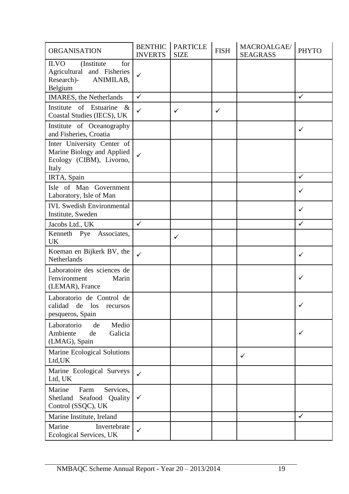| <b>ORGANISATION</b>                                                                                   | <b>BENTHIC</b><br><b>INVERTS</b> | <b>PARTICLE</b><br><b>SIZE</b> | <b>FISH</b>  | MACROALGAE/<br><b>SEAGRASS</b> | <b>PHYTO</b> |
|-------------------------------------------------------------------------------------------------------|----------------------------------|--------------------------------|--------------|--------------------------------|--------------|
| <b>ILVO</b><br>(Institute)<br>for<br>Agricultural and Fisheries<br>ANIMILAB,<br>Research)-<br>Belgium | $\checkmark$                     |                                |              |                                |              |
| <b>IMARES</b> , the Netherlands                                                                       | $\checkmark$                     |                                |              |                                | $\checkmark$ |
| Institute of Estuarine &<br>Coastal Studies (IECS), UK                                                | $\checkmark$                     | ✓                              | $\checkmark$ |                                |              |
| Institute of Oceanography<br>and Fisheries, Croatia                                                   |                                  |                                |              |                                | $\checkmark$ |
| Inter University Center of<br>Marine Biology and Applied<br>Ecology (CIBM), Livorno,<br>Italy         | ✓                                |                                |              |                                |              |
| IRTA, Spain                                                                                           |                                  |                                |              |                                | $\checkmark$ |
| Isle of Man Government<br>Laboratory, Isle of Man                                                     |                                  |                                |              |                                | ✓            |
| <b>IVL Swedish Environmental</b><br>Institute, Sweden                                                 |                                  |                                |              |                                | $\checkmark$ |
| Jacobs Ltd., UK                                                                                       | $\checkmark$                     |                                |              |                                | $\checkmark$ |
| Kenneth Pye Associates,<br>UK                                                                         |                                  | $\checkmark$                   |              |                                |              |
| Koeman en Bijkerk BV, the<br>Netherlands                                                              | $\checkmark$                     |                                |              |                                | ✓            |
| Laboratoire des sciences de<br>l'environment<br>Marin<br>(LEMAR), France                              |                                  |                                |              |                                | ✓            |
| Laboratorio de Control de<br>calidad de los<br>recursos<br>pesqueros, Spain                           |                                  |                                |              |                                | $\checkmark$ |
| Laboratorio<br>Medio<br>de<br>Galicia<br>Ambiente<br>de<br>(LMAG), Spain                              |                                  |                                |              |                                | ✓            |
| Marine Ecological Solutions<br>Ltd, UK                                                                |                                  |                                |              | ✓                              |              |
| Marine Ecological Surveys<br>Ltd, UK                                                                  | ✓                                |                                |              |                                |              |
| Marine<br>Services,<br>Farm<br>Seafood<br>Shetland<br>Quality<br>Control (SSQC), UK                   | ✓                                |                                |              |                                |              |
| Marine Institute, Ireland                                                                             |                                  |                                |              |                                | $\checkmark$ |
| Marine<br>Invertebrate<br>Ecological Services, UK                                                     | $\checkmark$                     |                                |              |                                |              |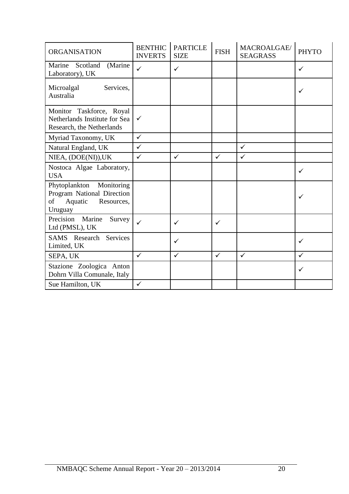| <b>ORGANISATION</b>                                                                                 | <b>BENTHIC</b><br><b>INVERTS</b> | <b>PARTICLE</b><br><b>SIZE</b> | <b>FISH</b>  | MACROALGAE/<br><b>SEAGRASS</b> | <b>PHYTO</b> |
|-----------------------------------------------------------------------------------------------------|----------------------------------|--------------------------------|--------------|--------------------------------|--------------|
| (Marine<br>Marine Scotland<br>Laboratory), UK                                                       | $\checkmark$                     | $\checkmark$                   |              |                                | ✓            |
| Microalgal<br>Services,<br>Australia                                                                |                                  |                                |              |                                | ✓            |
| Monitor Taskforce, Royal<br>Netherlands Institute for Sea<br>Research, the Netherlands              | $\checkmark$                     |                                |              |                                |              |
| Myriad Taxonomy, UK                                                                                 | $\checkmark$                     |                                |              |                                |              |
| Natural England, UK                                                                                 | $\checkmark$                     |                                |              | $\checkmark$                   |              |
| NIEA, (DOE(NI)), UK                                                                                 | $\checkmark$                     | $\checkmark$                   | $\checkmark$ | $\checkmark$                   |              |
| Nostoca Algae Laboratory,<br><b>USA</b>                                                             |                                  |                                |              |                                | $\checkmark$ |
| Phytoplankton<br>Monitoring<br>Program National Direction<br>of<br>Aquatic<br>Resources,<br>Uruguay |                                  |                                |              |                                | ✓            |
| Precision<br>Marine<br>Survey<br>Ltd (PMSL), UK                                                     | ✓                                | $\checkmark$                   | $\checkmark$ |                                |              |
| <b>SAMS</b> Research Services<br>Limited, UK                                                        |                                  | $\checkmark$                   |              |                                | ✓            |
| SEPA, UK                                                                                            | $\checkmark$                     | $\checkmark$                   | $\checkmark$ | $\checkmark$                   | $\checkmark$ |
| Stazione Zoologica Anton<br>Dohrn Villa Comunale, Italy                                             |                                  |                                |              |                                | ✓            |
| Sue Hamilton, UK                                                                                    | $\checkmark$                     |                                |              |                                |              |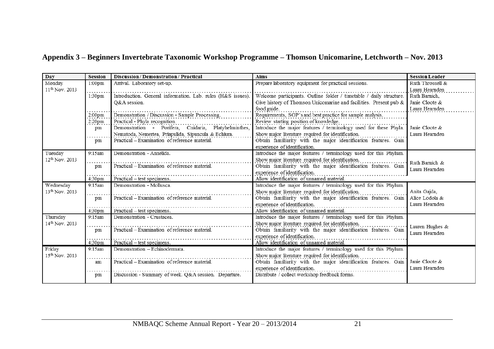# **Appendix 3 – Beginners Invertebrate Taxonomic Workshop Programme – Thomson Unicomarine, Letchworth – Nov. 2013**

<span id="page-22-0"></span>

| Dav                        | <b>Session</b>     | <b>Discussion / Demonstration / Practical</b>                                          | Aims                                                                                                                                 | <b>Session Leader</b>            |
|----------------------------|--------------------|----------------------------------------------------------------------------------------|--------------------------------------------------------------------------------------------------------------------------------------|----------------------------------|
| Monday                     | 1:00 <sub>pm</sub> | Arrival. Laboratory set-up.                                                            | Prepare laboratory equipment for practical sessions.                                                                                 | Ruth Throssell &                 |
| $11^{th}$ Nov. 2013        |                    |                                                                                        |                                                                                                                                      | Laura Hearnden                   |
|                            | 1:30 <sub>pm</sub> | Introduction. General information. Lab. rules (H&S issues).                            | Welcome participants. Outline folder / timetable / daily structure.                                                                  | Ruth Barnich,                    |
|                            |                    | O&A session.                                                                           | Give history of Thomson Unicomarine and facilities. Present pub &                                                                    | Janie Cloote &                   |
|                            |                    |                                                                                        | food guide.                                                                                                                          | Laura Hearnden                   |
|                            | 2:00 <sub>pm</sub> | Demonstration / Discussion - Sample Processing.                                        | Requirements, SOP's and best practice for sample analysis.                                                                           |                                  |
|                            | 2:20pm<br>pm       | Practical - Phyla recognition.<br>Demonstration - Porifera, Chidaria, Platyhelminthes, | Review starting position of knowledge.<br>Introduce the major features / terminology used for these Phyla.                           | Janie Cloote &                   |
|                            |                    | Nematoda, Nemertea, Priapulida, Sipuncula & Echiura.                                   | Show major literature required for identification.                                                                                   | Laura Hearnden                   |
|                            | pm                 | Practical - Examination of reference material.                                         | Obtain familiarity with the major identification features. Gain                                                                      |                                  |
|                            |                    |                                                                                        | experience of identification.                                                                                                        |                                  |
| Tuesday                    | 9:15am             | Demonstration - Annelida.                                                              | Introduce the major features / terminology used for this Phylum.                                                                     |                                  |
| 12 <sup>th</sup> Nov. 2013 | pm                 | Practical - Examination of reference material.                                         | Show major literature required for identification.<br>Obtain familiarity with the major identification features. Gain                | Ruth Barnich &<br>Laura Hearnden |
|                            | 4:30 <sub>pm</sub> | Practical – test specimens.                                                            | experience of identification.<br>Allow identification of unnamed material.                                                           |                                  |
| Wednesday                  | 9:15am             | Demonstration - Mollusca.                                                              | Introduce the major features / terminology used for this Phylum.                                                                     |                                  |
| $13^{th}$ Nov. 2013        | pm                 | Practical - Examination of reference material.                                         | Show major literature required for identification.<br>Obtain familiarity with the major identification features. Gain Alice Lodola & | Anita Gajda,                     |
|                            |                    |                                                                                        | experience of identification.                                                                                                        | Laura Hearnden                   |
|                            | 4:30 <sub>pm</sub> | Practical - test specimens.                                                            | Allow identification of unnamed material.                                                                                            |                                  |
| Thursday                   | 9:15am             | Demonstration - Crustacea.                                                             | Introduce the major features / terminology used for this Phylum.                                                                     |                                  |
| 14 <sup>th</sup> Nov. 2013 | pm                 | Practical – Examination of reference material.                                         | Show major literature required for identification.<br>Obtain familiarity with the major identification features. Gain                | Lauren Hughes &                  |
|                            |                    |                                                                                        | experience of identification.                                                                                                        | Laura Hearnden                   |
|                            | 4:30 <sub>pm</sub> | Practical - test specimens.                                                            | Allow identification of unnamed material.                                                                                            |                                  |
| Friday                     | 9:15am             | Demonstration - Echinodermata.                                                         | Introduce the major features / terminology used for this Phylum.                                                                     |                                  |
| $15^{th}$ Nov. 2013        |                    |                                                                                        | Show major literature required for identification.                                                                                   |                                  |
|                            | am                 | Practical - Examination of reference material.                                         | Obtain familiarity with the major identification features. Gain                                                                      | Janie Cloote &                   |
|                            |                    |                                                                                        | experience of identification.                                                                                                        | Laura Hearnden                   |
|                            | pm                 | Discussion - Summary of week. Q&A session. Departure.                                  | Distribute / collect workshop feedback forms.                                                                                        |                                  |